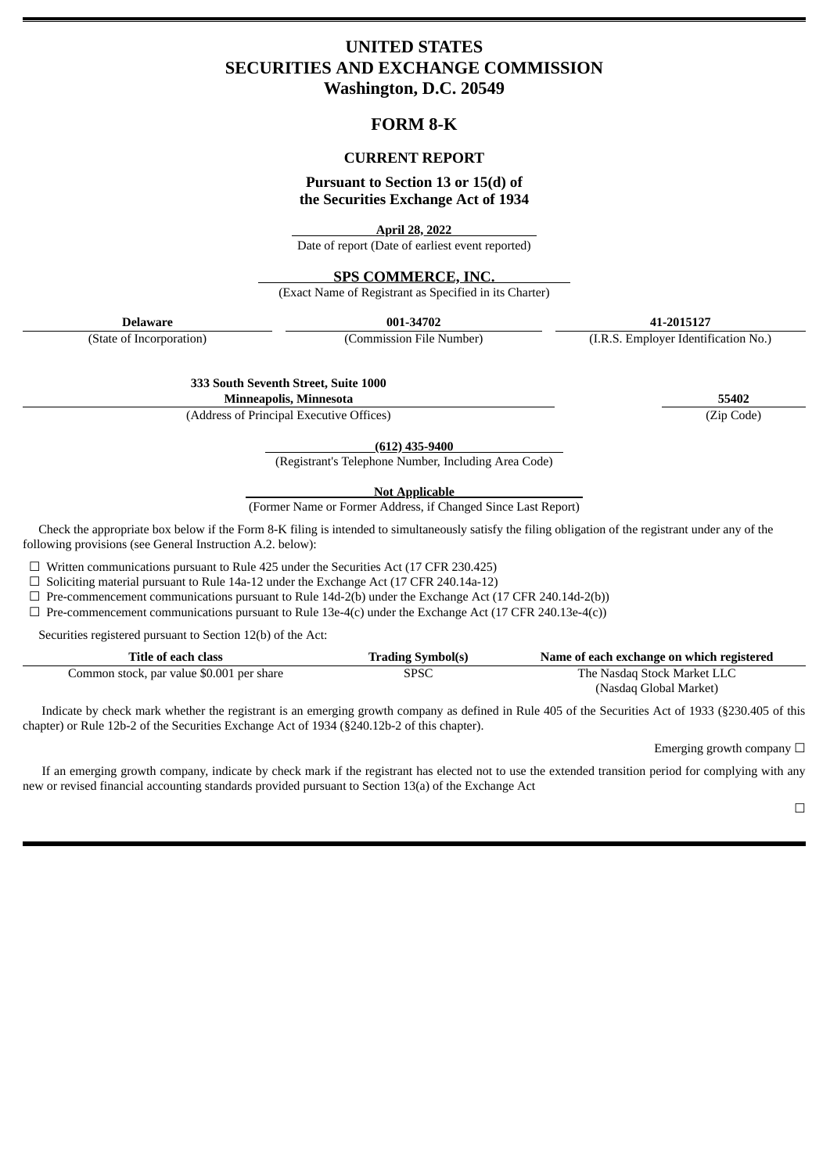## **UNITED STATES SECURITIES AND EXCHANGE COMMISSION Washington, D.C. 20549**

## **FORM 8-K**

#### **CURRENT REPORT**

#### **Pursuant to Section 13 or 15(d) of the Securities Exchange Act of 1934**

**April 28, 2022**

Date of report (Date of earliest event reported)

 **SPS COMMERCE, INC.** 

(Exact Name of Registrant as Specified in its Charter)

(State of Incorporation) (Commission File Number) (I.R.S. Employer Identification No.)

**Delaware 001-34702 41-2015127**

**333 South Seventh Street, Suite 1000**

**Minneapolis, Minnesota**

(Address of Principal Executive Offices) (Zip Code)

**(612) 435-9400**

(Registrant's Telephone Number, Including Area Code)

**Not Applicable**

(Former Name or Former Address, if Changed Since Last Report)

Check the appropriate box below if the Form 8-K filing is intended to simultaneously satisfy the filing obligation of the registrant under any of the following provisions (see General Instruction A.2. below):

 $\Box$  Written communications pursuant to Rule 425 under the Securities Act (17 CFR 230.425)

 $\Box$  Soliciting material pursuant to Rule 14a-12 under the Exchange Act (17 CFR 240.14a-12)

 $\Box$  Pre-commencement communications pursuant to Rule 14d-2(b) under the Exchange Act (17 CFR 240.14d-2(b))

 $\Box$  Pre-commencement communications pursuant to Rule 13e-4(c) under the Exchange Act (17 CFR 240.13e-4(c))

Securities registered pursuant to Section 12(b) of the Act:

| Title of each class                       | <b>Trading Symbol(s)</b> | Name of each exchange on which registered |
|-------------------------------------------|--------------------------|-------------------------------------------|
| Common stock, par value \$0.001 per share | SPSC                     | The Nasdag Stock Market LLC               |
|                                           |                          | (Nasdag Global Market)                    |

Indicate by check mark whether the registrant is an emerging growth company as defined in Rule 405 of the Securities Act of 1933 (§230.405 of this chapter) or Rule 12b-2 of the Securities Exchange Act of 1934 (§240.12b-2 of this chapter).

Emerging growth company  $\Box$ 

If an emerging growth company, indicate by check mark if the registrant has elected not to use the extended transition period for complying with any new or revised financial accounting standards provided pursuant to Section 13(a) of the Exchange Act

☐

**55402**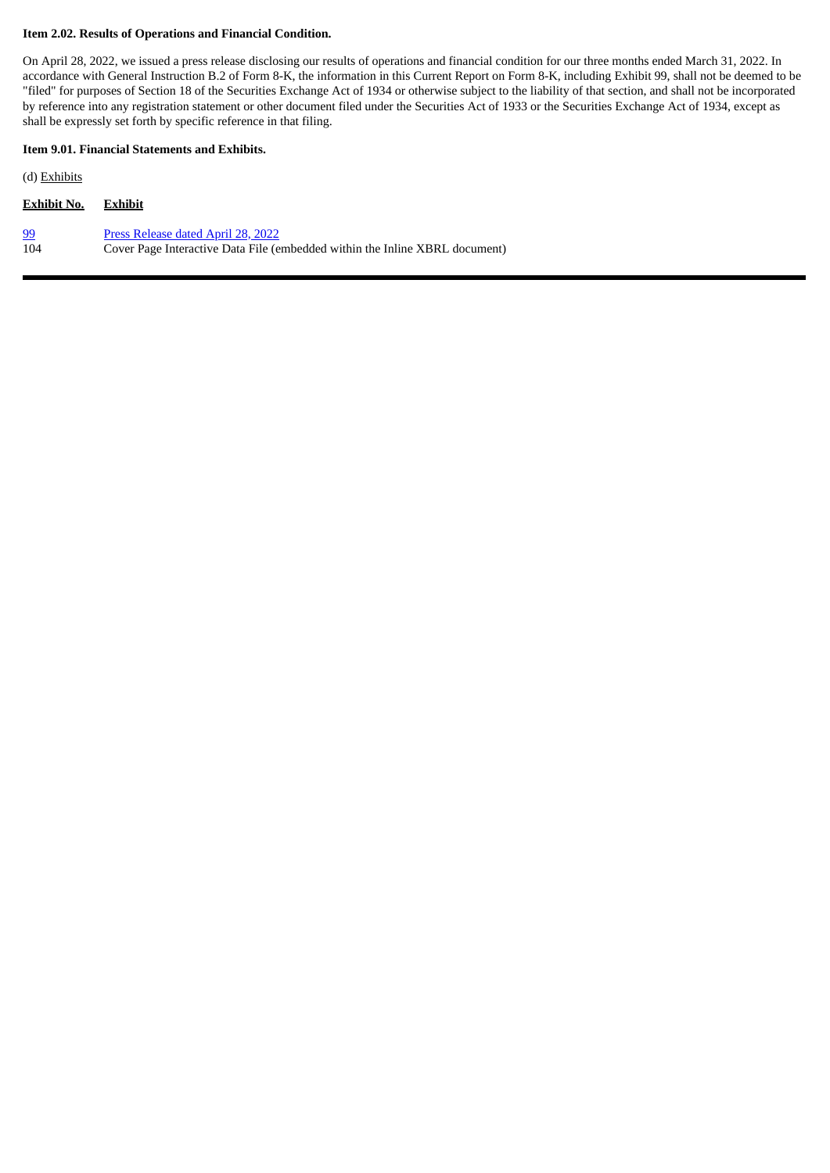#### **Item 2.02. Results of Operations and Financial Condition.**

On April 28, 2022, we issued a press release disclosing our results of operations and financial condition for our three months ended March 31, 2022. In accordance with General Instruction B.2 of Form 8-K, the information in this Current Report on Form 8-K, including Exhibit 99, shall not be deemed to be "filed" for purposes of Section 18 of the Securities Exchange Act of 1934 or otherwise subject to the liability of that section, and shall not be incorporated by reference into any registration statement or other document filed under the Securities Act of 1933 or the Securities Exchange Act of 1934, except as shall be expressly set forth by specific reference in that filing.

#### **Item 9.01. Financial Statements and Exhibits.**

(d) Exhibits

| Exhibit No. | Exhibit                                                                     |
|-------------|-----------------------------------------------------------------------------|
| -99         | Press Release dated April 28, 2022                                          |
| 104         | Cover Page Interactive Data File (embedded within the Inline XBRL document) |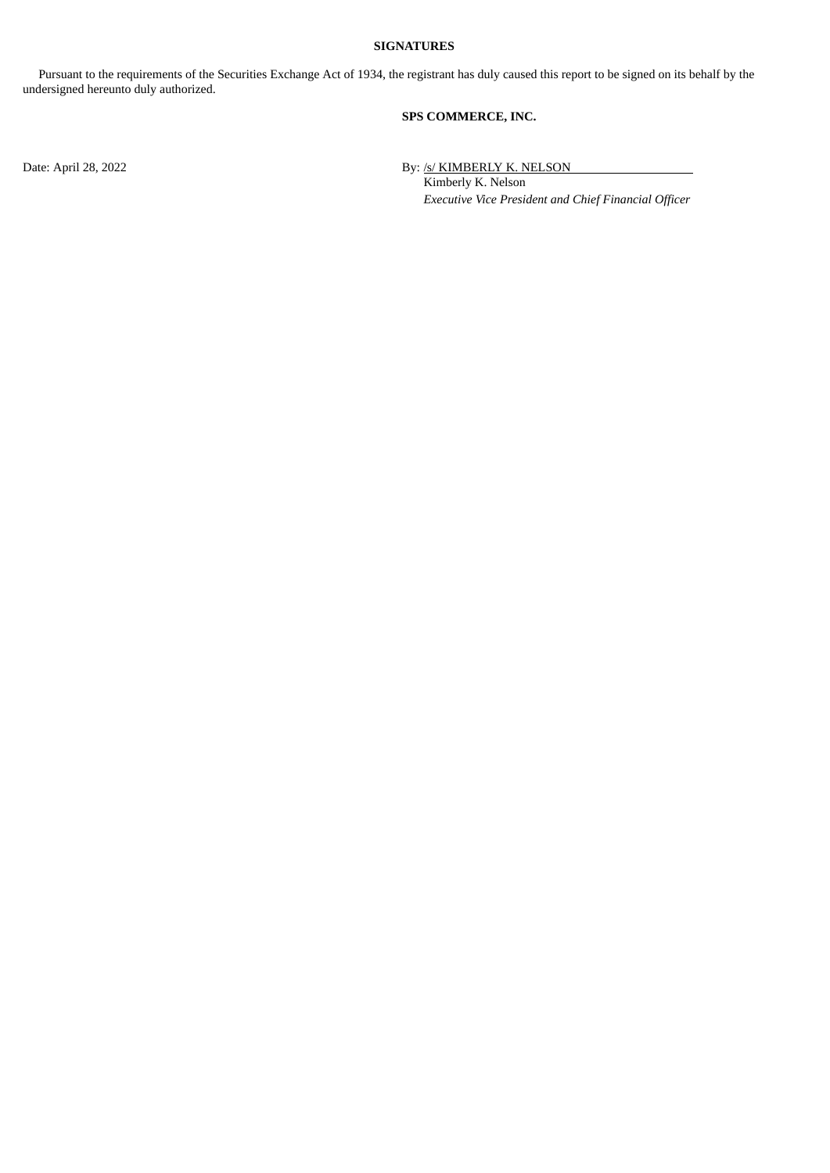#### **SIGNATURES**

Pursuant to the requirements of the Securities Exchange Act of 1934, the registrant has duly caused this report to be signed on its behalf by the undersigned hereunto duly authorized.

#### **SPS COMMERCE, INC.**

Date: April 28, 2022 By: /s/ KIMBERLY K. NELSON

Kimberly K. Nelson *Executive Vice President and Chief Financial Officer*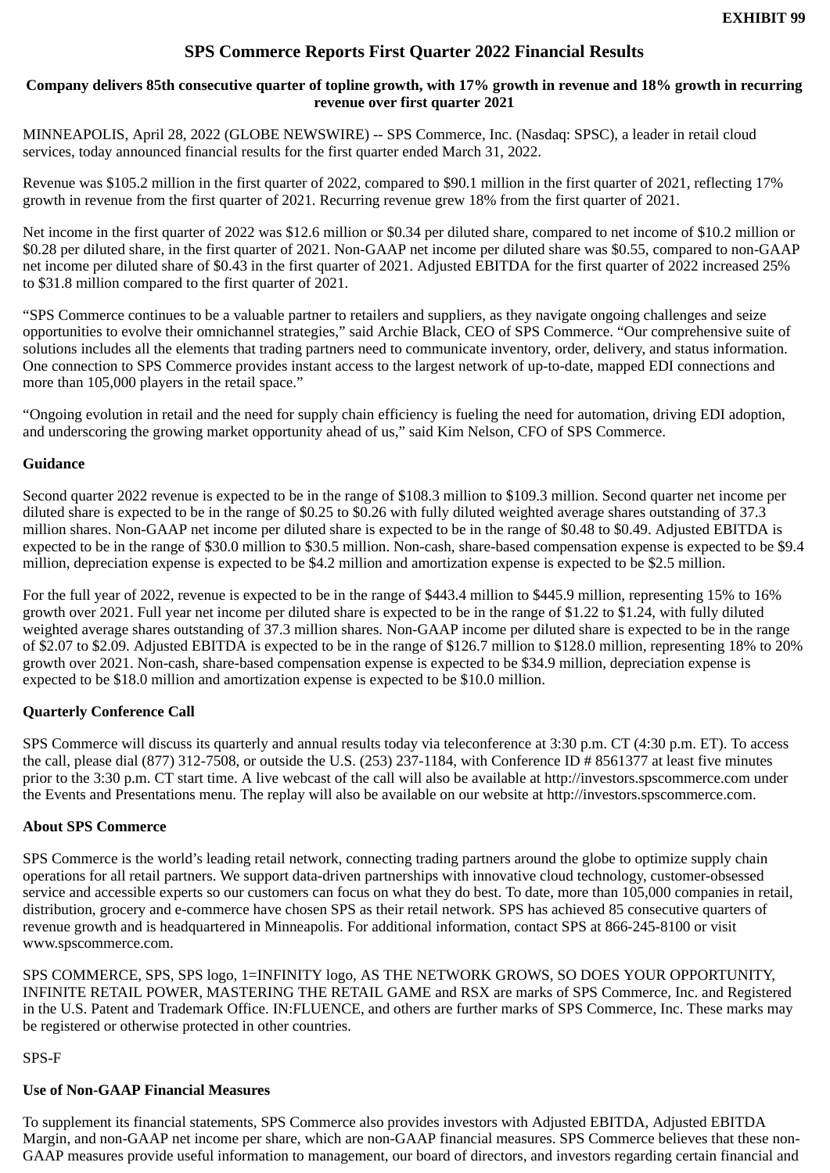# **SPS Commerce Reports First Quarter 2022 Financial Results**

### <span id="page-3-0"></span>**Company delivers 85th consecutive quarter of topline growth, with 17% growth in revenue and 18% growth in recurring revenue over first quarter 2021**

MINNEAPOLIS, April 28, 2022 (GLOBE NEWSWIRE) -- SPS Commerce, Inc. (Nasdaq: SPSC), a leader in retail cloud services, today announced financial results for the first quarter ended March 31, 2022.

Revenue was \$105.2 million in the first quarter of 2022, compared to \$90.1 million in the first quarter of 2021, reflecting 17% growth in revenue from the first quarter of 2021. Recurring revenue grew 18% from the first quarter of 2021.

Net income in the first quarter of 2022 was \$12.6 million or \$0.34 per diluted share, compared to net income of \$10.2 million or \$0.28 per diluted share, in the first quarter of 2021. Non-GAAP net income per diluted share was \$0.55, compared to non-GAAP net income per diluted share of \$0.43 in the first quarter of 2021. Adjusted EBITDA for the first quarter of 2022 increased 25% to \$31.8 million compared to the first quarter of 2021.

"SPS Commerce continues to be a valuable partner to retailers and suppliers, as they navigate ongoing challenges and seize opportunities to evolve their omnichannel strategies," said Archie Black, CEO of SPS Commerce. "Our comprehensive suite of solutions includes all the elements that trading partners need to communicate inventory, order, delivery, and status information. One connection to SPS Commerce provides instant access to the largest network of up-to-date, mapped EDI connections and more than 105,000 players in the retail space."

"Ongoing evolution in retail and the need for supply chain efficiency is fueling the need for automation, driving EDI adoption, and underscoring the growing market opportunity ahead of us," said Kim Nelson, CFO of SPS Commerce.

## **Guidance**

Second quarter 2022 revenue is expected to be in the range of \$108.3 million to \$109.3 million. Second quarter net income per diluted share is expected to be in the range of \$0.25 to \$0.26 with fully diluted weighted average shares outstanding of 37.3 million shares. Non-GAAP net income per diluted share is expected to be in the range of \$0.48 to \$0.49. Adjusted EBITDA is expected to be in the range of \$30.0 million to \$30.5 million. Non-cash, share-based compensation expense is expected to be \$9.4 million, depreciation expense is expected to be \$4.2 million and amortization expense is expected to be \$2.5 million.

For the full year of 2022, revenue is expected to be in the range of \$443.4 million to \$445.9 million, representing 15% to 16% growth over 2021. Full year net income per diluted share is expected to be in the range of \$1.22 to \$1.24, with fully diluted weighted average shares outstanding of 37.3 million shares. Non-GAAP income per diluted share is expected to be in the range of \$2.07 to \$2.09. Adjusted EBITDA is expected to be in the range of \$126.7 million to \$128.0 million, representing 18% to 20% growth over 2021. Non-cash, share-based compensation expense is expected to be \$34.9 million, depreciation expense is expected to be \$18.0 million and amortization expense is expected to be \$10.0 million.

## **Quarterly Conference Call**

SPS Commerce will discuss its quarterly and annual results today via teleconference at 3:30 p.m. CT (4:30 p.m. ET). To access the call, please dial (877) 312-7508, or outside the U.S. (253) 237-1184, with Conference ID # 8561377 at least five minutes prior to the 3:30 p.m. CT start time. A live webcast of the call will also be available at http://investors.spscommerce.com under the Events and Presentations menu. The replay will also be available on our website at http://investors.spscommerce.com.

### **About SPS Commerce**

SPS Commerce is the world's leading retail network, connecting trading partners around the globe to optimize supply chain operations for all retail partners. We support data-driven partnerships with innovative cloud technology, customer-obsessed service and accessible experts so our customers can focus on what they do best. To date, more than 105,000 companies in retail, distribution, grocery and e-commerce have chosen SPS as their retail network. SPS has achieved 85 consecutive quarters of revenue growth and is headquartered in Minneapolis. For additional information, contact SPS at 866-245-8100 or visit www.spscommerce.com.

SPS COMMERCE, SPS, SPS logo, 1=INFINITY logo, AS THE NETWORK GROWS, SO DOES YOUR OPPORTUNITY, INFINITE RETAIL POWER, MASTERING THE RETAIL GAME and RSX are marks of SPS Commerce, Inc. and Registered in the U.S. Patent and Trademark Office. IN:FLUENCE, and others are further marks of SPS Commerce, Inc. These marks may be registered or otherwise protected in other countries.

## SPS-F

# **Use of Non-GAAP Financial Measures**

To supplement its financial statements, SPS Commerce also provides investors with Adjusted EBITDA, Adjusted EBITDA Margin, and non-GAAP net income per share, which are non-GAAP financial measures. SPS Commerce believes that these non-GAAP measures provide useful information to management, our board of directors, and investors regarding certain financial and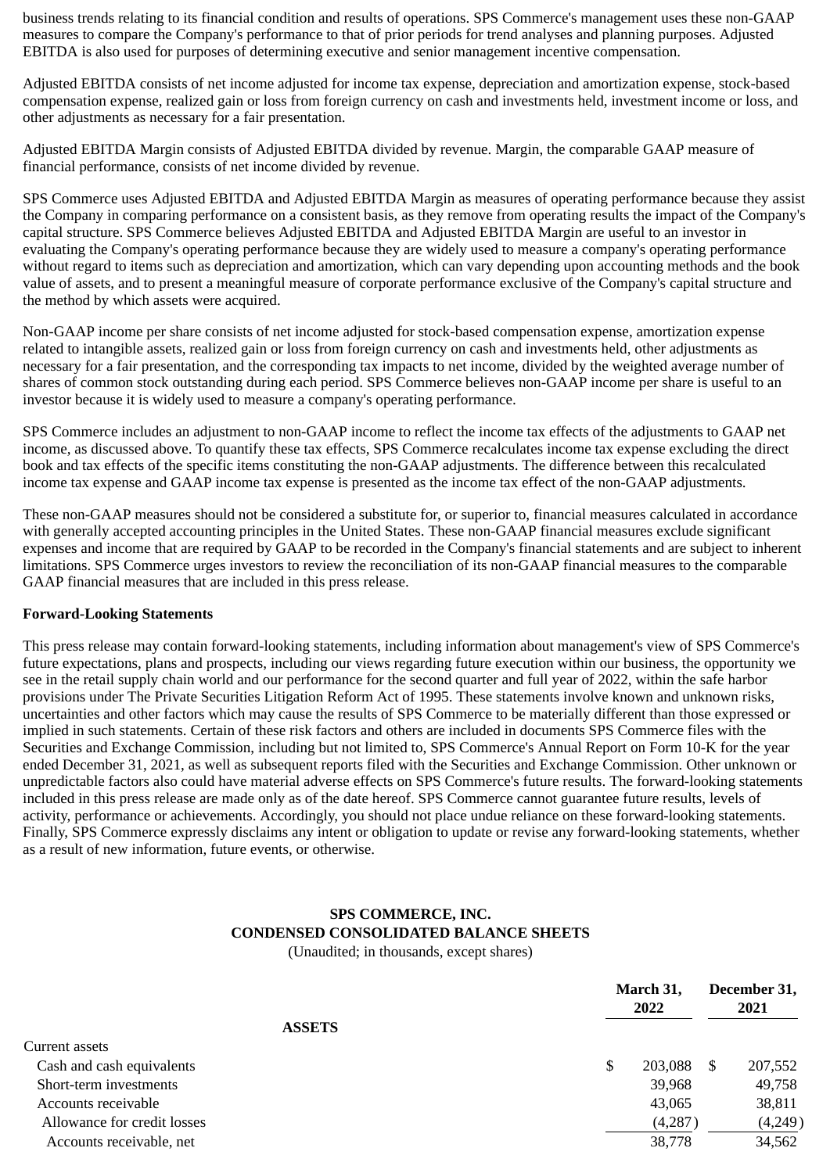business trends relating to its financial condition and results of operations. SPS Commerce's management uses these non-GAAP measures to compare the Company's performance to that of prior periods for trend analyses and planning purposes. Adjusted EBITDA is also used for purposes of determining executive and senior management incentive compensation.

Adjusted EBITDA consists of net income adjusted for income tax expense, depreciation and amortization expense, stock-based compensation expense, realized gain or loss from foreign currency on cash and investments held, investment income or loss, and other adjustments as necessary for a fair presentation.

Adjusted EBITDA Margin consists of Adjusted EBITDA divided by revenue. Margin, the comparable GAAP measure of financial performance, consists of net income divided by revenue.

SPS Commerce uses Adjusted EBITDA and Adjusted EBITDA Margin as measures of operating performance because they assist the Company in comparing performance on a consistent basis, as they remove from operating results the impact of the Company's capital structure. SPS Commerce believes Adjusted EBITDA and Adjusted EBITDA Margin are useful to an investor in evaluating the Company's operating performance because they are widely used to measure a company's operating performance without regard to items such as depreciation and amortization, which can vary depending upon accounting methods and the book value of assets, and to present a meaningful measure of corporate performance exclusive of the Company's capital structure and the method by which assets were acquired.

Non-GAAP income per share consists of net income adjusted for stock-based compensation expense, amortization expense related to intangible assets, realized gain or loss from foreign currency on cash and investments held, other adjustments as necessary for a fair presentation, and the corresponding tax impacts to net income, divided by the weighted average number of shares of common stock outstanding during each period. SPS Commerce believes non-GAAP income per share is useful to an investor because it is widely used to measure a company's operating performance.

SPS Commerce includes an adjustment to non-GAAP income to reflect the income tax effects of the adjustments to GAAP net income, as discussed above. To quantify these tax effects, SPS Commerce recalculates income tax expense excluding the direct book and tax effects of the specific items constituting the non-GAAP adjustments. The difference between this recalculated income tax expense and GAAP income tax expense is presented as the income tax effect of the non-GAAP adjustments.

These non-GAAP measures should not be considered a substitute for, or superior to, financial measures calculated in accordance with generally accepted accounting principles in the United States. These non-GAAP financial measures exclude significant expenses and income that are required by GAAP to be recorded in the Company's financial statements and are subject to inherent limitations. SPS Commerce urges investors to review the reconciliation of its non-GAAP financial measures to the comparable GAAP financial measures that are included in this press release.

### **Forward-Looking Statements**

This press release may contain forward-looking statements, including information about management's view of SPS Commerce's future expectations, plans and prospects, including our views regarding future execution within our business, the opportunity we see in the retail supply chain world and our performance for the second quarter and full year of 2022, within the safe harbor provisions under The Private Securities Litigation Reform Act of 1995. These statements involve known and unknown risks, uncertainties and other factors which may cause the results of SPS Commerce to be materially different than those expressed or implied in such statements. Certain of these risk factors and others are included in documents SPS Commerce files with the Securities and Exchange Commission, including but not limited to, SPS Commerce's Annual Report on Form 10-K for the year ended December 31, 2021, as well as subsequent reports filed with the Securities and Exchange Commission. Other unknown or unpredictable factors also could have material adverse effects on SPS Commerce's future results. The forward-looking statements included in this press release are made only as of the date hereof. SPS Commerce cannot guarantee future results, levels of activity, performance or achievements. Accordingly, you should not place undue reliance on these forward-looking statements. Finally, SPS Commerce expressly disclaims any intent or obligation to update or revise any forward-looking statements, whether as a result of new information, future events, or otherwise.

## **SPS COMMERCE, INC. CONDENSED CONSOLIDATED BALANCE SHEETS**

(Unaudited; in thousands, except shares)

|                             | March 31,<br>2022 |     | December 31,<br>2021 |
|-----------------------------|-------------------|-----|----------------------|
| <b>ASSETS</b>               |                   |     |                      |
| Current assets              |                   |     |                      |
| Cash and cash equivalents   | 203,088<br>\$     | - S | 207,552              |
| Short-term investments      | 39,968            |     | 49,758               |
| Accounts receivable         | 43,065            |     | 38,811               |
| Allowance for credit losses | (4,287)           |     | (4,249)              |
| Accounts receivable, net    | 38,778            |     | 34,562               |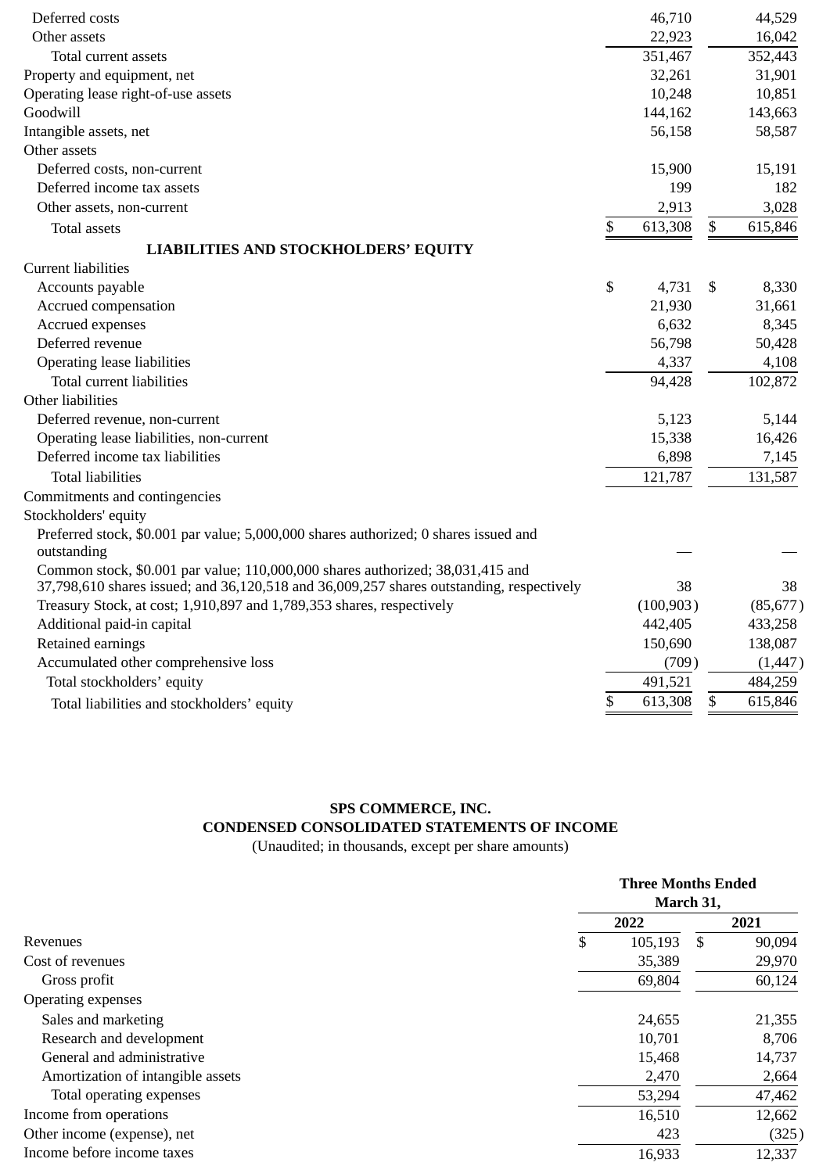| Deferred costs                                                                                      | 46,710        |      | 44,529    |
|-----------------------------------------------------------------------------------------------------|---------------|------|-----------|
| Other assets                                                                                        | 22,923        |      | 16,042    |
| Total current assets                                                                                | 351,467       |      | 352,443   |
| Property and equipment, net                                                                         | 32,261        |      | 31,901    |
| Operating lease right-of-use assets                                                                 | 10,248        |      | 10,851    |
| Goodwill                                                                                            | 144,162       |      | 143,663   |
| Intangible assets, net                                                                              | 56,158        |      | 58,587    |
| Other assets                                                                                        |               |      |           |
| Deferred costs, non-current                                                                         | 15,900        |      | 15,191    |
| Deferred income tax assets                                                                          | 199           |      | 182       |
| Other assets, non-current                                                                           | 2,913         |      | 3,028     |
| <b>Total assets</b>                                                                                 | \$<br>613,308 | $\$$ | 615,846   |
| <b>LIABILITIES AND STOCKHOLDERS' EQUITY</b>                                                         |               |      |           |
| <b>Current liabilities</b>                                                                          |               |      |           |
| Accounts payable                                                                                    | \$<br>4,731   | \$   | 8,330     |
| Accrued compensation                                                                                | 21,930        |      | 31,661    |
| Accrued expenses                                                                                    | 6,632         |      | 8,345     |
| Deferred revenue                                                                                    | 56,798        |      | 50,428    |
| Operating lease liabilities                                                                         | 4,337         |      | 4,108     |
| Total current liabilities                                                                           | 94,428        |      | 102,872   |
| Other liabilities                                                                                   |               |      |           |
| Deferred revenue, non-current                                                                       | 5,123         |      | 5,144     |
| Operating lease liabilities, non-current                                                            | 15,338        |      | 16,426    |
| Deferred income tax liabilities                                                                     | 6,898         |      | 7,145     |
| <b>Total liabilities</b>                                                                            | 121,787       |      | 131,587   |
| Commitments and contingencies                                                                       |               |      |           |
| Stockholders' equity                                                                                |               |      |           |
| Preferred stock, \$0.001 par value; 5,000,000 shares authorized; 0 shares issued and<br>outstanding |               |      |           |
| Common stock, \$0.001 par value; 110,000,000 shares authorized; 38,031,415 and                      |               |      |           |
| 37,798,610 shares issued; and 36,120,518 and 36,009,257 shares outstanding, respectively            | 38            |      | 38        |
| Treasury Stock, at cost; 1,910,897 and 1,789,353 shares, respectively                               | (100, 903)    |      | (85, 677) |
| Additional paid-in capital                                                                          | 442,405       |      | 433,258   |
| Retained earnings                                                                                   | 150,690       |      | 138,087   |
| Accumulated other comprehensive loss                                                                | (709)         |      | (1, 447)  |
| Total stockholders' equity                                                                          | 491,521       |      | 484,259   |
| Total liabilities and stockholders' equity                                                          | \$<br>613,308 | \$   | 615,846   |
|                                                                                                     |               |      |           |

# **SPS COMMERCE, INC. CONDENSED CONSOLIDATED STATEMENTS OF INCOME**

(Unaudited; in thousands, except per share amounts)

|                                   | <b>Three Months Ended</b><br>March 31, |    |        |  |
|-----------------------------------|----------------------------------------|----|--------|--|
|                                   | 2022                                   |    | 2021   |  |
| Revenues                          | \$<br>105,193                          | \$ | 90,094 |  |
| Cost of revenues                  | 35,389                                 |    | 29,970 |  |
| Gross profit                      | 69,804                                 |    | 60,124 |  |
| <b>Operating expenses</b>         |                                        |    |        |  |
| Sales and marketing               | 24,655                                 |    | 21,355 |  |
| Research and development          | 10,701                                 |    | 8,706  |  |
| General and administrative        | 15,468                                 |    | 14,737 |  |
| Amortization of intangible assets | 2,470                                  |    | 2,664  |  |
| Total operating expenses          | 53,294                                 |    | 47,462 |  |
| Income from operations            | 16,510                                 |    | 12,662 |  |
| Other income (expense), net       | 423                                    |    | (325)  |  |
| Income before income taxes        | 16,933                                 |    | 12,337 |  |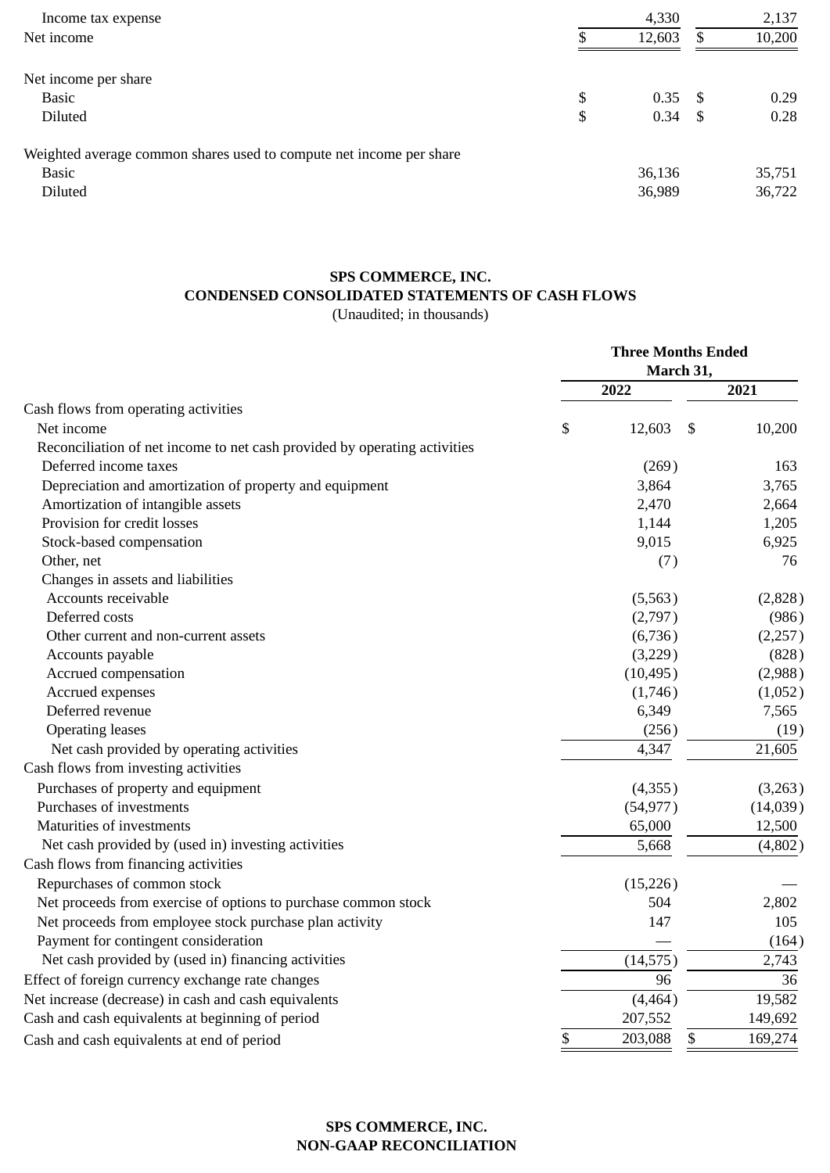| Income tax expense                                                  | 4,330                 |     | 2,137  |
|---------------------------------------------------------------------|-----------------------|-----|--------|
| Net income                                                          | 12,603                | JD. | 10,200 |
| Net income per share                                                |                       |     |        |
| <b>Basic</b>                                                        | \$<br>$0.35$ \$       |     | 0.29   |
| Diluted                                                             | \$<br>$0.34 \quad$ \$ |     | 0.28   |
| Weighted average common shares used to compute net income per share |                       |     |        |
| <b>Basic</b>                                                        | 36,136                |     | 35,751 |
| Diluted                                                             | 36,989                |     | 36,722 |
|                                                                     |                       |     |        |

# **SPS COMMERCE, INC. CONDENSED CONSOLIDATED STATEMENTS OF CASH FLOWS**

(Unaudited; in thousands)

|                                                                           | <b>Three Months Ended</b><br>March 31, |           |    |          |
|---------------------------------------------------------------------------|----------------------------------------|-----------|----|----------|
|                                                                           |                                        | 2022      |    | 2021     |
| Cash flows from operating activities                                      |                                        |           |    |          |
| Net income                                                                | \$                                     | 12,603    | \$ | 10,200   |
| Reconciliation of net income to net cash provided by operating activities |                                        |           |    |          |
| Deferred income taxes                                                     |                                        | (269)     |    | 163      |
| Depreciation and amortization of property and equipment                   |                                        | 3,864     |    | 3,765    |
| Amortization of intangible assets                                         |                                        | 2,470     |    | 2,664    |
| Provision for credit losses                                               |                                        | 1,144     |    | 1,205    |
| Stock-based compensation                                                  |                                        | 9,015     |    | 6,925    |
| Other, net                                                                |                                        | (7)       |    | 76       |
| Changes in assets and liabilities                                         |                                        |           |    |          |
| Accounts receivable                                                       |                                        | (5,563)   |    | (2,828)  |
| Deferred costs                                                            |                                        | (2,797)   |    | (986)    |
| Other current and non-current assets                                      |                                        | (6,736)   |    | (2,257)  |
| Accounts payable                                                          |                                        | (3,229)   |    | (828)    |
| Accrued compensation                                                      |                                        | (10, 495) |    | (2,988)  |
| Accrued expenses                                                          |                                        | (1,746)   |    | (1,052)  |
| Deferred revenue                                                          |                                        | 6,349     |    | 7,565    |
| <b>Operating leases</b>                                                   |                                        | (256)     |    | (19)     |
| Net cash provided by operating activities                                 |                                        | 4,347     |    | 21,605   |
| Cash flows from investing activities                                      |                                        |           |    |          |
| Purchases of property and equipment                                       |                                        | (4,355)   |    | (3,263)  |
| Purchases of investments                                                  |                                        | (54, 977) |    | (14,039) |
| Maturities of investments                                                 |                                        | 65,000    |    | 12,500   |
| Net cash provided by (used in) investing activities                       |                                        | 5,668     |    | (4,802)  |
| Cash flows from financing activities                                      |                                        |           |    |          |
| Repurchases of common stock                                               |                                        | (15,226)  |    |          |
| Net proceeds from exercise of options to purchase common stock            |                                        | 504       |    | 2,802    |
| Net proceeds from employee stock purchase plan activity                   |                                        | 147       |    | 105      |
| Payment for contingent consideration                                      |                                        |           |    | (164)    |
| Net cash provided by (used in) financing activities                       |                                        | (14, 575) |    | 2,743    |
| Effect of foreign currency exchange rate changes                          |                                        | 96        |    | 36       |
| Net increase (decrease) in cash and cash equivalents                      |                                        | (4, 464)  |    | 19,582   |
| Cash and cash equivalents at beginning of period                          |                                        | 207,552   |    | 149,692  |
| Cash and cash equivalents at end of period                                | \$                                     | 203,088   | \$ | 169,274  |
|                                                                           |                                        |           |    |          |